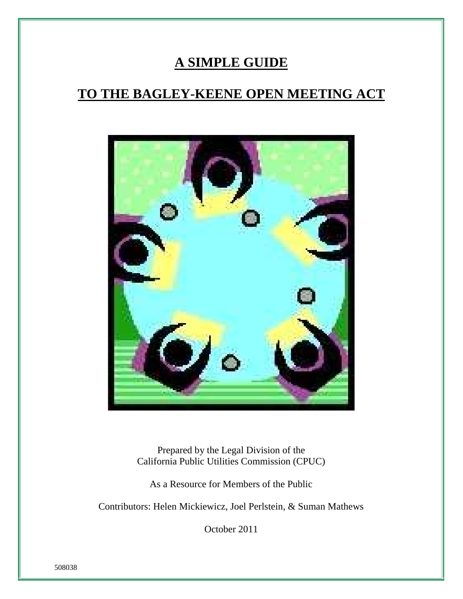# **A SIMPLE GUIDE**

# **TO THE BAGLEY-KEENE OPEN MEETING ACT**



Prepared by the Legal Division of the California Public Utilities Commission (CPUC)

As a Resource for Members of the Public

Contributors: Helen Mickiewicz, Joel Perlstein, & Suman Mathews

October 2011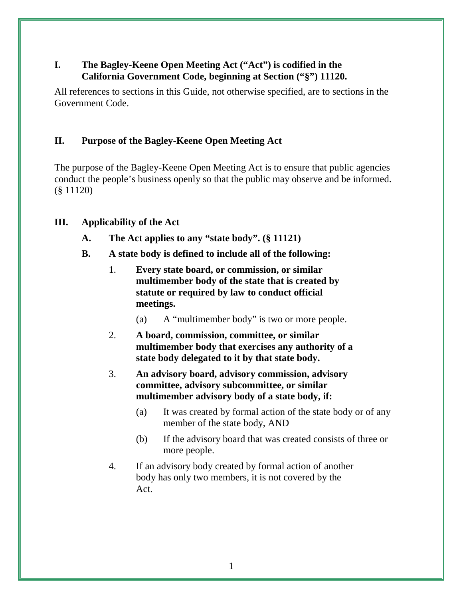# **I. The Bagley-Keene Open Meeting Act ("Act") is codified in the California Government Code, beginning at Section ("§") 11120.**

All references to sections in this Guide, not otherwise specified, are to sections in the Government Code.

# **II. Purpose of the Bagley-Keene Open Meeting Act**

The purpose of the Bagley-Keene Open Meeting Act is to ensure that public agencies conduct the people's business openly so that the public may observe and be informed. (§ 11120)

## **III. Applicability of the Act**

- **A. The Act applies to any "state body". (§ 11121)**
- **B. A state body is defined to include all of the following:**
	- 1. **Every state board, or commission, or similar multimember body of the state that is created by statute or required by law to conduct official meetings.**
		- (a) A "multimember body" is two or more people.
	- 2. **A board, commission, committee, or similar multimember body that exercises any authority of a state body delegated to it by that state body.**
	- 3. **An advisory board, advisory commission, advisory committee, advisory subcommittee, or similar multimember advisory body of a state body, if:**
		- (a) It was created by formal action of the state body or of any member of the state body, AND
		- (b) If the advisory board that was created consists of three or more people.
	- 4. If an advisory body created by formal action of another body has only two members, it is not covered by the Act.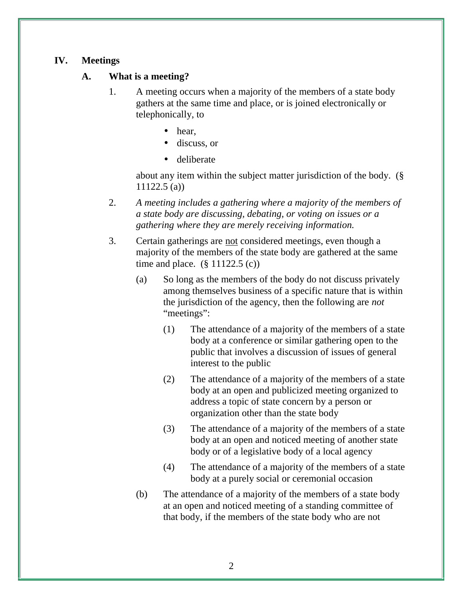## **IV. Meetings**

## **A. What is a meeting?**

- 1. A meeting occurs when a majority of the members of a state body gathers at the same time and place, or is joined electronically or telephonically, to
	- hear,
	- discuss, or
	- deliberate

about any item within the subject matter jurisdiction of the body. (§ 11122.5 (a))

- 2. *A meeting includes a gathering where a majority of the members of a state body are discussing, debating, or voting on issues or a gathering where they are merely receiving information.*
- 3. Certain gatherings are not considered meetings, even though a majority of the members of the state body are gathered at the same time and place.  $(\S 11122.5 (c))$ 
	- (a) So long as the members of the body do not discuss privately among themselves business of a specific nature that is within the jurisdiction of the agency, then the following are *not* "meetings":
		- (1) The attendance of a majority of the members of a state body at a conference or similar gathering open to the public that involves a discussion of issues of general interest to the public
		- (2) The attendance of a majority of the members of a state body at an open and publicized meeting organized to address a topic of state concern by a person or organization other than the state body
		- (3) The attendance of a majority of the members of a state body at an open and noticed meeting of another state body or of a legislative body of a local agency
		- (4) The attendance of a majority of the members of a state body at a purely social or ceremonial occasion
	- (b) The attendance of a majority of the members of a state body at an open and noticed meeting of a standing committee of that body, if the members of the state body who are not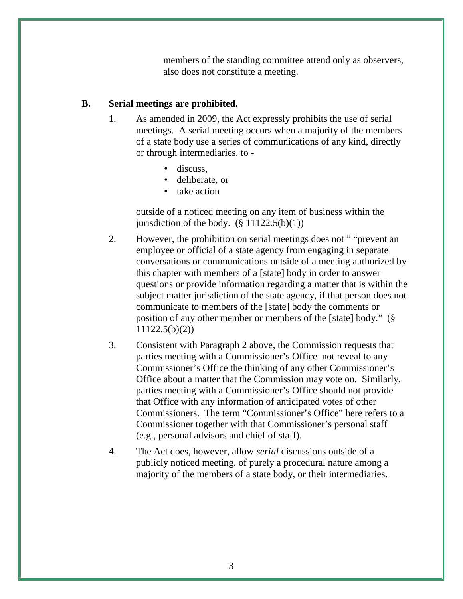members of the standing committee attend only as observers, also does not constitute a meeting.

#### **B. Serial meetings are prohibited.**

- 1. As amended in 2009, the Act expressly prohibits the use of serial meetings. A serial meeting occurs when a majority of the members of a state body use a series of communications of any kind, directly or through intermediaries, to -
	- discuss.
	- deliberate, or
	- take action

outside of a noticed meeting on any item of business within the jurisdiction of the body.  $(\S 11122.5(b)(1))$ 

- 2. However, the prohibition on serial meetings does not " "prevent an employee or official of a state agency from engaging in separate conversations or communications outside of a meeting authorized by this chapter with members of a [state] body in order to answer questions or provide information regarding a matter that is within the subject matter jurisdiction of the state agency, if that person does not communicate to members of the [state] body the comments or position of any other member or members of the [state] body." (§ 11122.5(b)(2))
- 3. Consistent with Paragraph 2 above, the Commission requests that parties meeting with a Commissioner's Office not reveal to any Commissioner's Office the thinking of any other Commissioner's Office about a matter that the Commission may vote on. Similarly, parties meeting with a Commissioner's Office should not provide that Office with any information of anticipated votes of other Commissioners. The term "Commissioner's Office" here refers to a Commissioner together with that Commissioner's personal staff (e.g., personal advisors and chief of staff).
- 4. The Act does, however, allow *serial* discussions outside of a publicly noticed meeting. of purely a procedural nature among a majority of the members of a state body, or their intermediaries.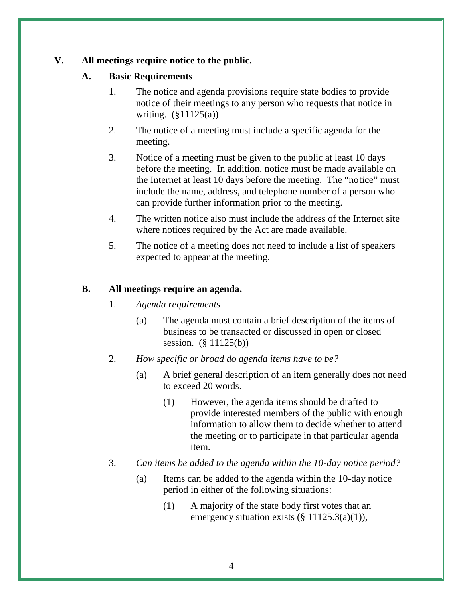## **V. All meetings require notice to the public.**

## **A. Basic Requirements**

- 1. The notice and agenda provisions require state bodies to provide notice of their meetings to any person who requests that notice in writing. (§11125(a))
- 2. The notice of a meeting must include a specific agenda for the meeting.
- 3. Notice of a meeting must be given to the public at least 10 days before the meeting. In addition, notice must be made available on the Internet at least 10 days before the meeting. The "notice" must include the name, address, and telephone number of a person who can provide further information prior to the meeting.
- 4. The written notice also must include the address of the Internet site where notices required by the Act are made available.
- 5. The notice of a meeting does not need to include a list of speakers expected to appear at the meeting.

# **B. All meetings require an agenda.**

- 1. *Agenda requirements*
	- (a) The agenda must contain a brief description of the items of business to be transacted or discussed in open or closed session. (§ 11125(b))
- 2. *How specific or broad do agenda items have to be?*
	- (a) A brief general description of an item generally does not need to exceed 20 words.
		- (1) However, the agenda items should be drafted to provide interested members of the public with enough information to allow them to decide whether to attend the meeting or to participate in that particular agenda item.
- 3. *Can items be added to the agenda within the 10-day notice period?*
	- (a) Items can be added to the agenda within the 10-day notice period in either of the following situations:
		- (1) A majority of the state body first votes that an emergency situation exists  $(\S 11125.3(a)(1)),$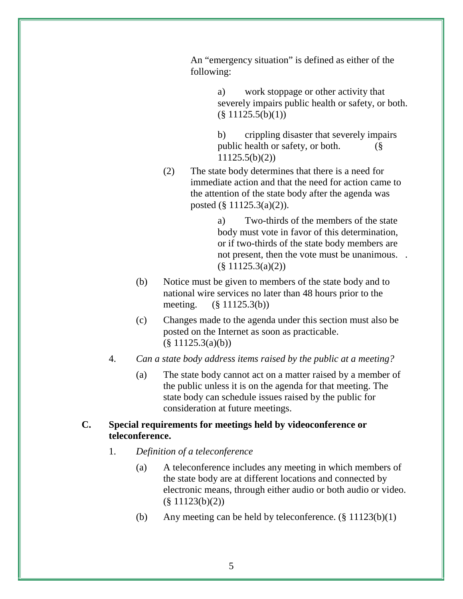An "emergency situation" is defined as either of the following:

> a) work stoppage or other activity that severely impairs public health or safety, or both.  $(\S 11125.5(b)(1))$

b) crippling disaster that severely impairs public health or safety, or both. (§ 11125.5(b)(2))

(2) The state body determines that there is a need for immediate action and that the need for action came to the attention of the state body after the agenda was posted (§ 11125.3(a)(2)).

> a) Two-thirds of the members of the state body must vote in favor of this determination, or if two-thirds of the state body members are not present, then the vote must be unanimous. .  $(\S 11125.3(a)(2))$

- (b) Notice must be given to members of the state body and to national wire services no later than 48 hours prior to the meeting. (§ 11125.3(b))
- (c) Changes made to the agenda under this section must also be posted on the Internet as soon as practicable.  $(\S 11125.3(a)(b))$
- 4. *Can a state body address items raised by the public at a meeting?*
	- (a) The state body cannot act on a matter raised by a member of the public unless it is on the agenda for that meeting. The state body can schedule issues raised by the public for consideration at future meetings.

#### **C. Special requirements for meetings held by videoconference or teleconference.**

- 1. *Definition of a teleconference*
	- (a) A teleconference includes any meeting in which members of the state body are at different locations and connected by electronic means, through either audio or both audio or video. (§ 11123(b)(2))
	- (b) Any meeting can be held by teleconference.  $(\S 11123(b)(1))$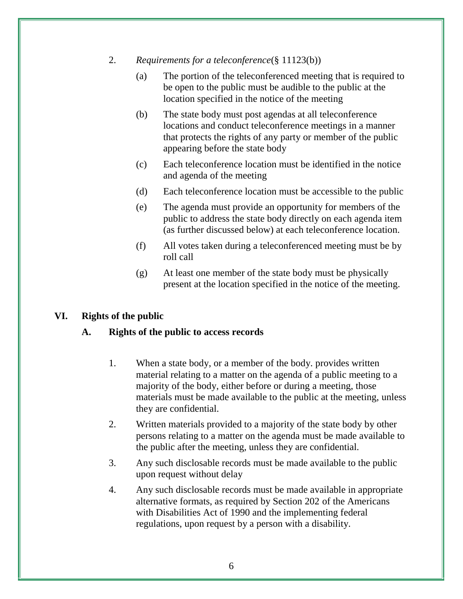- 2. *Requirements for a teleconference*(§ 11123(b))
	- (a) The portion of the teleconferenced meeting that is required to be open to the public must be audible to the public at the location specified in the notice of the meeting
	- (b) The state body must post agendas at all teleconference locations and conduct teleconference meetings in a manner that protects the rights of any party or member of the public appearing before the state body
	- (c) Each teleconference location must be identified in the notice and agenda of the meeting
	- (d) Each teleconference location must be accessible to the public
	- (e) The agenda must provide an opportunity for members of the public to address the state body directly on each agenda item (as further discussed below) at each teleconference location.
	- (f) All votes taken during a teleconferenced meeting must be by roll call
	- (g) At least one member of the state body must be physically present at the location specified in the notice of the meeting.

## **VI. Rights of the public**

## **A. Rights of the public to access records**

- 1. When a state body, or a member of the body. provides written material relating to a matter on the agenda of a public meeting to a majority of the body, either before or during a meeting, those materials must be made available to the public at the meeting, unless they are confidential.
- 2. Written materials provided to a majority of the state body by other persons relating to a matter on the agenda must be made available to the public after the meeting, unless they are confidential*.*
- 3. Any such disclosable records must be made available to the public upon request without delay
- 4. Any such disclosable records must be made available in appropriate alternative formats, as required by Section 202 of the Americans with Disabilities Act of 1990 and the implementing federal regulations, upon request by a person with a disability.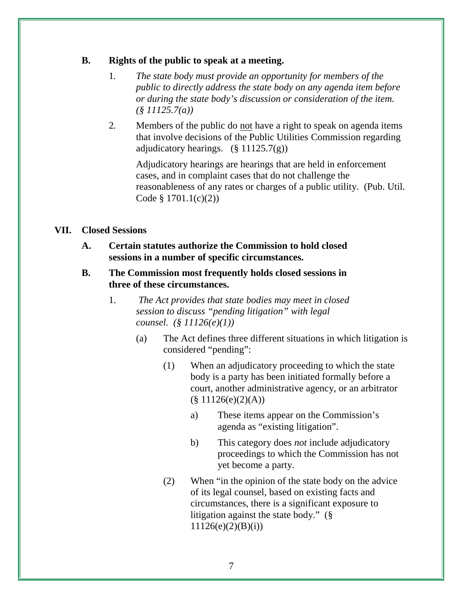#### **B. Rights of the public to speak at a meeting.**

- 1*. The state body must provide an opportunity for members of the public to directly address the state body on any agenda item before or during the state body's discussion or consideration of the item. (§ 11125.7(a))*
- 2*.* Members of the public do not have a right to speak on agenda items that involve decisions of the Public Utilities Commission regarding adjudicatory hearings.  $(\S 11125.7(g))$

Adjudicatory hearings are hearings that are held in enforcement cases, and in complaint cases that do not challenge the reasonableness of any rates or charges of a public utility. (Pub. Util. Code § 1701.1(c)(2))

#### **VII. Closed Sessions**

- **A. Certain statutes authorize the Commission to hold closed sessions in a number of specific circumstances.**
- **B. The Commission most frequently holds closed sessions in three of these circumstances.**
	- 1. *The Act provides that state bodies may meet in closed session to discuss "pending litigation" with legal counsel. (§ 11126(e)(1))*
		- (a) The Act defines three different situations in which litigation is considered "pending":
			- (1) When an adjudicatory proceeding to which the state body is a party has been initiated formally before a court, another administrative agency, or an arbitrator  $(\S 11126(e)(2)(A))$ 
				- a) These items appear on the Commission's agenda as "existing litigation".
				- b) This category does *not* include adjudicatory proceedings to which the Commission has not yet become a party.
			- (2) When "in the opinion of the state body on the advice of its legal counsel, based on existing facts and circumstances, there is a significant exposure to litigation against the state body." (§  $11126(e)(2)(B)(i)$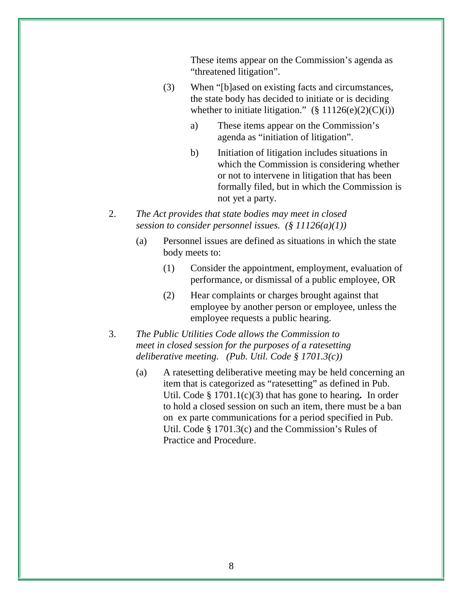These items appear on the Commission's agenda as "threatened litigation".

- (3) When "[b]ased on existing facts and circumstances, the state body has decided to initiate or is deciding whether to initiate litigation."  $(\S 11126(e)(2)(C)(i))$ 
	- a) These items appear on the Commission's agenda as "initiation of litigation".
	- b) Initiation of litigation includes situations in which the Commission is considering whether or not to intervene in litigation that has been formally filed, but in which the Commission is not yet a party.
- 2. *The Act provides that state bodies may meet in closed session to consider personnel issues. (§ 11126(a)(1))*
	- (a) Personnel issues are defined as situations in which the state body meets to:
		- (1) Consider the appointment, employment, evaluation of performance, or dismissal of a public employee, OR
		- (2) Hear complaints or charges brought against that employee by another person or employee, unless the employee requests a public hearing.
- 3. *The Public Utilities Code allows the Commission to meet in closed session for the purposes of a ratesetting deliberative meeting. (Pub. Util. Code § 1701.3(c))*
	- (a) A ratesetting deliberative meeting may be held concerning an item that is categorized as "ratesetting" as defined in Pub. Util. Code § 1701.1(c)(3) that has gone to hearing*.* In order to hold a closed session on such an item, there must be a ban on ex parte communications for a period specified in Pub. Util. Code § 1701.3(c) and the Commission's Rules of Practice and Procedure.